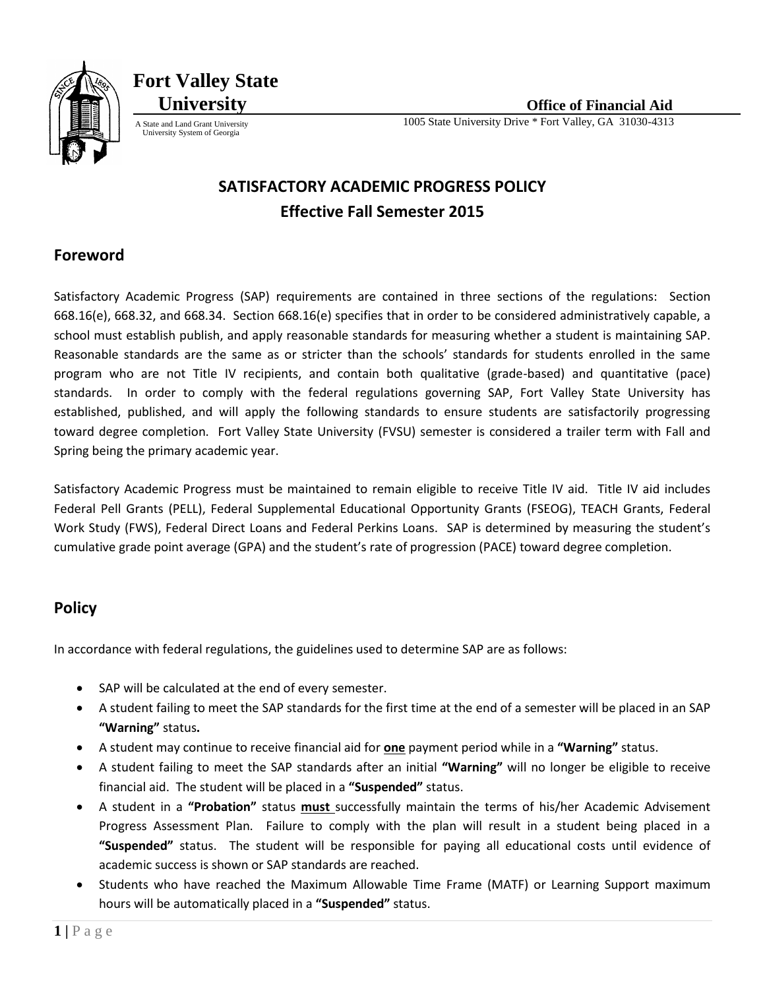

**Fort Valley State**

University System of Georgia

# **SATISFACTORY ACADEMIC PROGRESS POLICY Effective Fall Semester 2015**

## **Foreword**

Satisfactory Academic Progress (SAP) requirements are contained in three sections of the regulations: Section 668.16(e), 668.32, and 668.34. Section 668.16(e) specifies that in order to be considered administratively capable, a school must establish publish, and apply reasonable standards for measuring whether a student is maintaining SAP. Reasonable standards are the same as or stricter than the schools' standards for students enrolled in the same program who are not Title IV recipients, and contain both qualitative (grade-based) and quantitative (pace) standards. In order to comply with the federal regulations governing SAP, Fort Valley State University has established, published, and will apply the following standards to ensure students are satisfactorily progressing toward degree completion. Fort Valley State University (FVSU) semester is considered a trailer term with Fall and Spring being the primary academic year.

Satisfactory Academic Progress must be maintained to remain eligible to receive Title IV aid. Title IV aid includes Federal Pell Grants (PELL), Federal Supplemental Educational Opportunity Grants (FSEOG), TEACH Grants, Federal Work Study (FWS), Federal Direct Loans and Federal Perkins Loans. SAP is determined by measuring the student's cumulative grade point average (GPA) and the student's rate of progression (PACE) toward degree completion.

## **Policy**

In accordance with federal regulations, the guidelines used to determine SAP are as follows:

- SAP will be calculated at the end of every semester.
- A student failing to meet the SAP standards for the first time at the end of a semester will be placed in an SAP **"Warning"** status**.**
- A student may continue to receive financial aid for **one** payment period while in a **"Warning"** status.
- A student failing to meet the SAP standards after an initial **"Warning"** will no longer be eligible to receive financial aid. The student will be placed in a **"Suspended"** status.
- A student in a **"Probation"** status **must** successfully maintain the terms of his/her Academic Advisement Progress Assessment Plan. Failure to comply with the plan will result in a student being placed in a **"Suspended"** status. The student will be responsible for paying all educational costs until evidence of academic success is shown or SAP standards are reached.
- Students who have reached the Maximum Allowable Time Frame (MATF) or Learning Support maximum hours will be automatically placed in a **"Suspended"** status.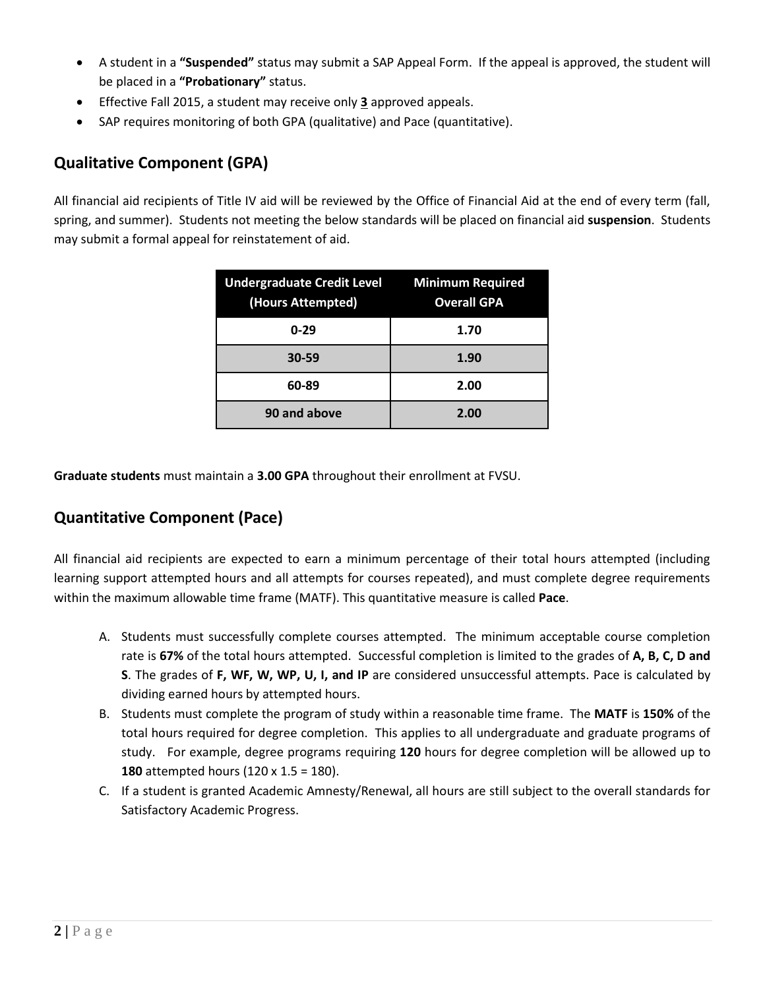- A student in a **"Suspended"** status may submit a SAP Appeal Form. If the appeal is approved, the student will be placed in a **"Probationary"** status.
- Effective Fall 2015, a student may receive only **3** approved appeals.
- SAP requires monitoring of both GPA (qualitative) and Pace (quantitative).

## **Qualitative Component (GPA)**

All financial aid recipients of Title IV aid will be reviewed by the Office of Financial Aid at the end of every term (fall, spring, and summer). Students not meeting the below standards will be placed on financial aid **suspension**. Students may submit a formal appeal for reinstatement of aid.

| Undergraduate Credit Level Minimum Required<br>(Hours Attempted) | <b>Overall GPA</b> |
|------------------------------------------------------------------|--------------------|
| $0 - 29$                                                         | 1.70               |
| $30 - 59$                                                        | 1.90               |
| 60-89                                                            | 2.00               |
| 90 and above                                                     | 2.00               |

**Graduate students** must maintain a **3.00 GPA** throughout their enrollment at FVSU.

## **Quantitative Component (Pace)**

All financial aid recipients are expected to earn a minimum percentage of their total hours attempted (including learning support attempted hours and all attempts for courses repeated), and must complete degree requirements within the maximum allowable time frame (MATF). This quantitative measure is called **Pace**.

- A. Students must successfully complete courses attempted. The minimum acceptable course completion rate is **67%** of the total hours attempted. Successful completion is limited to the grades of **A, B, C, D and S**. The grades of **F, WF, W, WP, U, I, and IP** are considered unsuccessful attempts. Pace is calculated by dividing earned hours by attempted hours.
- B. Students must complete the program of study within a reasonable time frame. The **MATF** is **150%** of the total hours required for degree completion. This applies to all undergraduate and graduate programs of study. For example, degree programs requiring **120** hours for degree completion will be allowed up to **180** attempted hours (120 x 1.5 = 180).
- C. If a student is granted Academic Amnesty/Renewal, all hours are still subject to the overall standards for Satisfactory Academic Progress.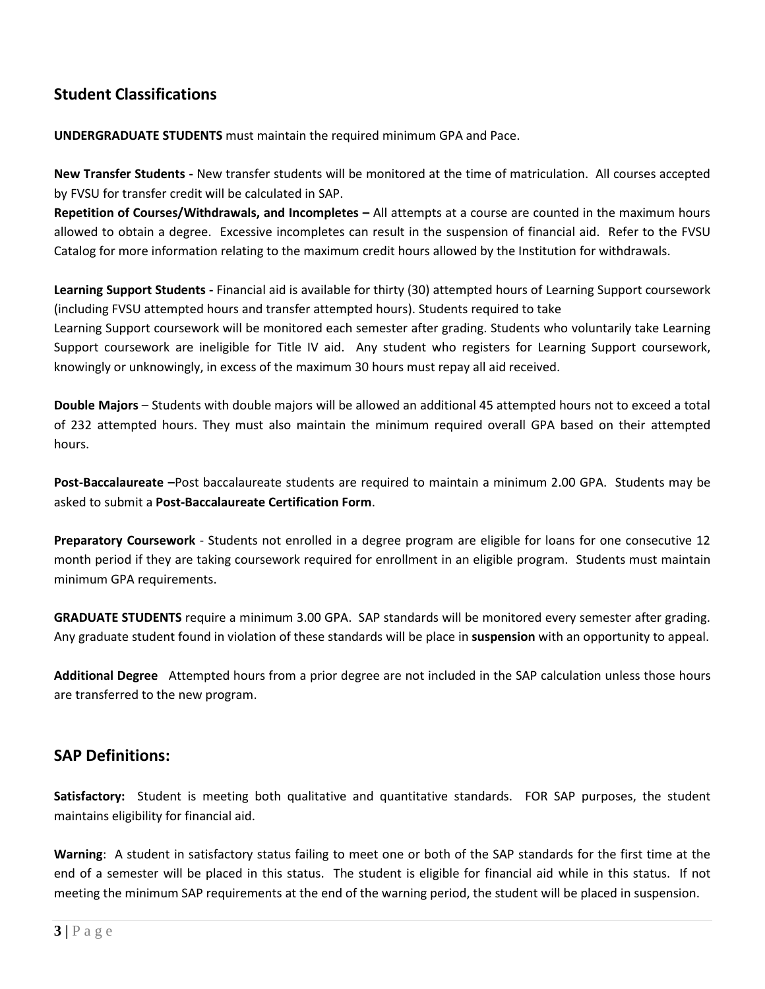## **Student Classifications**

**UNDERGRADUATE STUDENTS** must maintain the required minimum GPA and Pace.

**New Transfer Students -** New transfer students will be monitored at the time of matriculation. All courses accepted by FVSU for transfer credit will be calculated in SAP.

**Repetition of Courses/Withdrawals, and Incompletes –** All attempts at a course are counted in the maximum hours allowed to obtain a degree. Excessive incompletes can result in the suspension of financial aid. Refer to the FVSU Catalog for more information relating to the maximum credit hours allowed by the Institution for withdrawals.

**Learning Support Students -** Financial aid is available for thirty (30) attempted hours of Learning Support coursework (including FVSU attempted hours and transfer attempted hours). Students required to take Learning Support coursework will be monitored each semester after grading. Students who voluntarily take Learning Support coursework are ineligible for Title IV aid. Any student who registers for Learning Support coursework, knowingly or unknowingly, in excess of the maximum 30 hours must repay all aid received.

**Double Majors** – Students with double majors will be allowed an additional 45 attempted hours not to exceed a total of 232 attempted hours. They must also maintain the minimum required overall GPA based on their attempted hours.

**Post-Baccalaureate –**Post baccalaureate students are required to maintain a minimum 2.00 GPA. Students may be asked to submit a **Post-Baccalaureate Certification Form**.

**Preparatory Coursework** - Students not enrolled in a degree program are eligible for loans for one consecutive 12 month period if they are taking coursework required for enrollment in an eligible program. Students must maintain minimum GPA requirements.

**GRADUATE STUDENTS** require a minimum 3.00 GPA. SAP standards will be monitored every semester after grading. Any graduate student found in violation of these standards will be place in **suspension** with an opportunity to appeal.

**Additional Degree** Attempted hours from a prior degree are not included in the SAP calculation unless those hours are transferred to the new program.

### **SAP Definitions:**

Satisfactory: Student is meeting both qualitative and quantitative standards. FOR SAP purposes, the student maintains eligibility for financial aid.

**Warning**: A student in satisfactory status failing to meet one or both of the SAP standards for the first time at the end of a semester will be placed in this status. The student is eligible for financial aid while in this status. If not meeting the minimum SAP requirements at the end of the warning period, the student will be placed in suspension.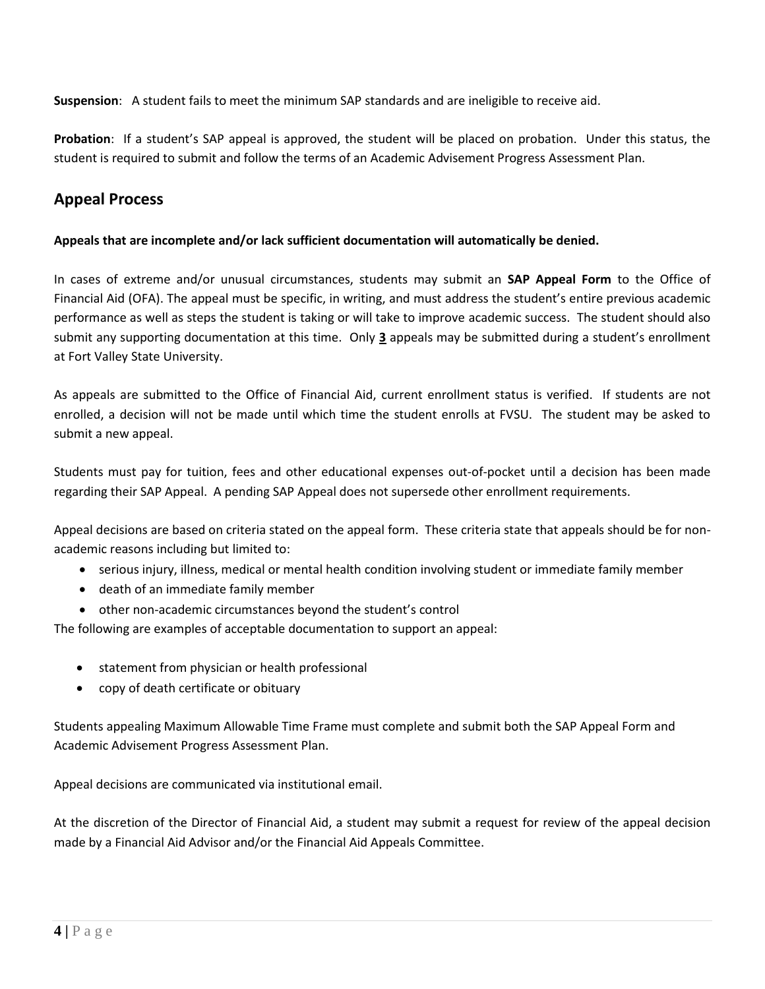**Suspension**: A student fails to meet the minimum SAP standards and are ineligible to receive aid.

**Probation**: If a student's SAP appeal is approved, the student will be placed on probation. Under this status, the student is required to submit and follow the terms of an Academic Advisement Progress Assessment Plan.

## **Appeal Process**

### **Appeals that are incomplete and/or lack sufficient documentation will automatically be denied.**

In cases of extreme and/or unusual circumstances, students may submit an **SAP Appeal Form** to the Office of Financial Aid (OFA). The appeal must be specific, in writing, and must address the student's entire previous academic performance as well as steps the student is taking or will take to improve academic success. The student should also submit any supporting documentation at this time. Only **3** appeals may be submitted during a student's enrollment at Fort Valley State University.

As appeals are submitted to the Office of Financial Aid, current enrollment status is verified. If students are not enrolled, a decision will not be made until which time the student enrolls at FVSU. The student may be asked to submit a new appeal.

Students must pay for tuition, fees and other educational expenses out-of-pocket until a decision has been made regarding their SAP Appeal. A pending SAP Appeal does not supersede other enrollment requirements.

Appeal decisions are based on criteria stated on the appeal form. These criteria state that appeals should be for nonacademic reasons including but limited to:

- serious injury, illness, medical or mental health condition involving student or immediate family member
- death of an immediate family member
- other non-academic circumstances beyond the student's control

The following are examples of acceptable documentation to support an appeal:

- statement from physician or health professional
- copy of death certificate or obituary

Students appealing Maximum Allowable Time Frame must complete and submit both the SAP Appeal Form and Academic Advisement Progress Assessment Plan.

Appeal decisions are communicated via institutional email.

At the discretion of the Director of Financial Aid, a student may submit a request for review of the appeal decision made by a Financial Aid Advisor and/or the Financial Aid Appeals Committee.